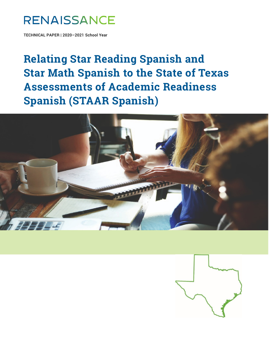# **RENAISSANCE**

TECHNICAL PAPER | 2020–2021 School Year

**Relating Star Reading Spanish and Star Math Spanish to the State of Texas Assessments of Academic Readiness Spanish (STAAR Spanish)** 



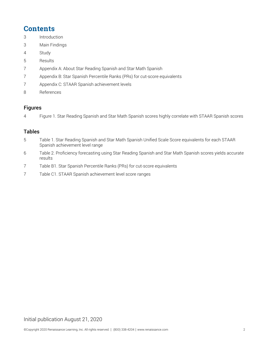### **Contents**

- Introduction
- Main Findings
- Study
- Results
- Appendix A: About Star Reading Spanish and Star Math Spanish
- Appendix B: Star Spanish Percentile Ranks (PRs) for cut-score equivalents
- Appendix C: STAAR Spanish achievement levels
- References

#### Figures

Figure 1. Star Reading Spanish and Star Math Spanish scores highly correlate with STAAR Spanish scores

#### Tables

- Table 1. Star Reading Spanish and Star Math Spanish Unified Scale Score equivalents for each STAAR Spanish achievement level range
- Table 2. Proficiency forecasting using Star Reading Spanish and Star Math Spanish scores yields accurate results
- Table B1. Star Spanish Percentile Ranks (PRs) for cut-score equivalents
- Table C1. STAAR Spanish achievement level score ranges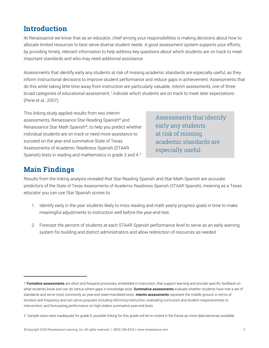### **Introduction**

At Renaissance we know that as an educator, chief among your responsibilities is making decisions about how to allocate limited resources to best serve diverse student needs. A good assessment system supports your efforts, by providing timely, relevant information to help address key questions about which students are on track to meet important standards and who may need additional assistance.

Assessments that identify early any students at risk of missing academic standards are especially useful, as they inform instructional decisions to improve student performance and reduce gaps in achievement. Assessments that do this while taking little time away from instruction are particularly valuable. *Interim assessments*, one of three broad categories of educational assessment,<sup>[1](#page-2-0)</sup> indicate which students are on track to meet later expectations (Perie et al., 2007).

This linking study applied results from two interim assessments, Renaissance Star Reading Spanish® and Renaissance Star Math Spanish®, to help you predict whether individual students are on track or need more assistance to succeed on the year-end summative State of Texas Assessments of Academic Readiness Spanish (STAAR Spanish) tests in reading and mathematics in grade 3 and 4.<sup>[2](#page-2-1)</sup>

Assessments that identify early any students at risk of missing academic standards are especially useful.

### **Main Findings**

Results from the linking analysis revealed that Star Reading Spanish and Star Math Spanish are accurate predictors of the State of Texas Assessments of Academic Readiness Spanish (STAAR Spanish), meaning as a Texas educator you can use Star Spanish scores to:

- 1. Identify early in the year students likely to miss reading and math yearly progress goals in time to make meaningful adjustments to instruction well before the year-end test.
- 2. Forecast the percent of students at each STAAR Spanish performance level to serve as an early warning system for building and district administrators and allow redirection of resources as needed.

<span id="page-2-0"></span><sup>1</sup> Formative assessments are short and frequent processes, embedded in instruction, that support learning and provide specific feedback on what students know and can do versus where gaps in knowledge exist. Summative assessments evaluate whether students have met a set of standards and serve most commonly as year-end state-mandated tests. Interim assessments represent the middle ground, in terms of duration and frequency and can serve purposes including informing instruction, evaluating curriculum and student responsiveness to intervention, and forecasting performance on high-stakes summative year-end tests.

<span id="page-2-1"></span><sup>2</sup> Sample sizes were inadequate for grade 5; possible linking for this grade will be re-visited in the future as more data becomes available.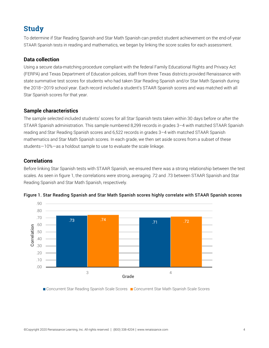### **Study**

To determine if Star Reading Spanish and Star Math Spanish can predict student achievement on the end-of-year STAAR Spanish tests in reading and mathematics, we began by linking the score scales for each assessment.

#### **Data collection**

Using a secure data-matching procedure compliant with the federal Family Educational Rights and Privacy Act (FERPA) and Texas Department of Education policies, staff from three Texas districts provided Renaissance with state summative test scores for students who had taken Star Reading Spanish and/or Star Math Spanish during the 2018–2019 school year. Each record included a student's STAAR Spanish scores and was matched with all Star Spanish scores for that year.

#### **Sample characteristics**

The sample selected included students' scores for all Star Spanish tests taken within 30 days before or after the STAAR Spanish administration. This sample numbered 8,299 records in grades 3–4 with matched STAAR Spanish reading and Star Reading Spanish scores and 6,522 records in grades 3–4 with matched STAAR Spanish mathematics and Star Math Spanish scores. In each grade, we then set aside scores from a subset of these students—10%—as a holdout sample to use to evaluate the scale linkage.

#### **Correlations**

Before linking Star Spanish tests with STAAR Spanish, we ensured there was a strong relationship between the test scales. As seen in figure 1, the correlations were strong, averaging .72 and .73 between STAAR Spanish and Star Reading Spanish and Star Math Spanish, respectively.



Figure 1. Star Reading Spanish and Star Math Spanish scores highly correlate with STAAR Spanish scores

■ Concurrent Star Reading Spanish Scale Scores ■ Concurrent Star Math Spanish Scale Scores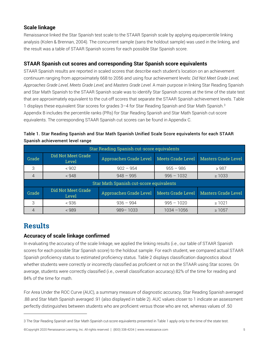#### **Scale linkage**

Renaissance linked the Star Spanish test scale to the STAAR Spanish scale by applying equipercentile linking analysis (Kolen & Brennan, 2004). The concurrent sample (sans the holdout sample) was used in the linking, and the result was a table of STAAR Spanish scores for each possible Star Spanish score.

#### **STAAR Spanish cut scores and corresponding Star Spanish score equivalents**

STAAR Spanish results are reported in scaled scores that describe each student's location on an achievement continuum ranging from approximately 668 to 2056 and using four achievement levels: *Did Not Meet Grade Level, Approaches Grade Level, Meets Grade Level,* and *Masters Grade Level.* A main purpose in linking Star Reading Spanish and Star Math Spanish to the STAAR Spanish scale was to identify Star Spanish scores at the time of the state test that are approximately equivalent to the cut-off scores that separate the STAAR Spanish achievement levels. Table 1 displays these equivalent Star scores for grades [3](#page-4-0)-4 for Star Reading Spanish and Star Math Spanish.<sup>3</sup> Appendix B includes the percentile ranks (PRs) for Star Reading Spanish and Star Math Spanish cut-score equivalents. The corresponding STAAR Spanish cut scores can be found in Appendix C.

| Star Reading Spanish cut-score equivalents |                             |                                            |                   |                            |
|--------------------------------------------|-----------------------------|--------------------------------------------|-------------------|----------------------------|
| Grade                                      | Did Not Meet Grade<br>Level | Approaches Grade Level                     | Meets Grade Level | <b>Masters Grade Level</b> |
| 3                                          | < 902                       | $902 - 954$                                | $955 - 986$       | $\geq 987$                 |
|                                            | < 948                       | $948 - 995$                                | $996 - 1032$      | $\geq 1033$                |
| Star Math Spanish cut-score equivalents    |                             |                                            |                   |                            |
| Grade                                      | Did Not Meet Grade<br>Level | Approaches Grade Level   Meets Grade Level |                   | <b>Masters Grade Level</b> |
| 3                                          | < 936                       | $936 - 994$                                | $995 - 1020$      | $\geq 1021$                |
|                                            | < 989                       | $989 - 1033$                               | 1034 -1056        | $\geq 1057$                |

| Table 1. Star Reading Spanish and Star Math Spanish Unified Scale Score equivalents for each STAAR |  |
|----------------------------------------------------------------------------------------------------|--|
| Spanish achievement level range                                                                    |  |

### **Results**

#### **Accuracy of scale linkage confirmed**

In evaluating the accuracy of the scale linkage, we applied the linking results (i.e., our table of STAAR Spanish scores for each possible Star Spanish score) to the holdout sample. For each student, we compared actual STAAR Spanish proficiency status to estimated proficiency status. Table 2 displays classification diagnostics about whether students were correctly or incorrectly classified as proficient or not on the STAAR using Star scores. On average, students were correctly classified (i.e., overall classification accuracy) 82% of the time for reading and 84% of the time for math.

For Area Under the ROC Curve (AUC), a summary measure of diagnostic accuracy, Star Reading Spanish averaged .88 and Star Math Spanish averaged .91 (also displayed in table 2). AUC values closer to 1 indicate an assessment perfectly distinguishes between students who are proficient versus those who are not, whereas values of .50

©Copyright 2020 Renaissance Learning, Inc. All rights reserved. | (800) 338-4204 | www.renaissance.com 5

<span id="page-4-0"></span><sup>3</sup> The Star Reading Spanish and Star Math Spanish cut-score equivalents presented in Table 1 apply only to the time of the state test.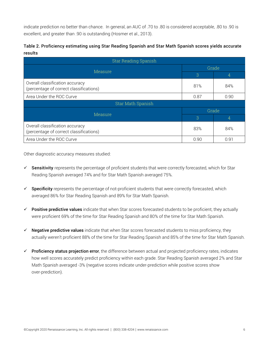indicate prediction no better than chance. In general, an AUC of .70 to .80 is considered acceptable, .80 to .90 is excellent, and greater than .90 is outstanding (Hosmer et al., 2013).

| Table 2. Proficiency estimating using Star Reading Spanish and Star Math Spanish scores yields accurate |  |
|---------------------------------------------------------------------------------------------------------|--|
| results                                                                                                 |  |

| <b>Star Reading Spanish</b>                                                |       |      |  |
|----------------------------------------------------------------------------|-------|------|--|
|                                                                            | Grade |      |  |
| Measure                                                                    | 3     | 4    |  |
| Overall classification accuracy<br>(percentage of correct classifications) | 81%   | 84%  |  |
| Area Under the ROC Curve                                                   | 0.87  | 0.90 |  |
| <b>Star Math Spanish</b>                                                   |       |      |  |
| Measure                                                                    | Grade |      |  |
|                                                                            | 3     | 4    |  |
| Overall classification accuracy<br>(percentage of correct classifications) | 83%   | 84%  |  |
| Area Under the ROC Curve                                                   | 0.90  | 0.91 |  |

Other diagnostic accuracy measures studied:

- $\checkmark$  Sensitivity represents the percentage of proficient students that were correctly forecasted, which for Star Reading Spanish averaged 74% and for Star Math Spanish averaged 75%.
- $\checkmark$  Specificity represents the percentage of not-proficient students that were correctly forecasted, which averaged 86% for Star Reading Spanish and 89% for Star Math Spanish.
- $\checkmark$  Positive predictive values indicate that when Star scores forecasted students to be proficient, they actually were proficient 69% of the time for Star Reading Spanish and 80% of the time for Star Math Spanish.
- $\checkmark$  Negative predictive values indicate that when Star scores forecasted students to miss proficiency, they actually weren't proficient 88% of the time for Star Reading Spanish and 85% of the time for Star Math Spanish.
- $\checkmark$  Proficiency status projection error, the difference between actual and projected proficiency rates, indicates how well scores accurately predict proficiency within each grade. Star Reading Spanish averaged 2% and Star Math Spanish averaged -3% (negative scores indicate under-prediction while positive scores show over-prediction).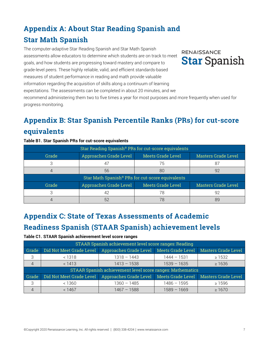# **Appendix A: About Star Reading Spanish and Star Math Spanish**

The computer-adaptive Star Reading Spanish and Star Math Spanish assessments allow educators to determine which students are on track to meet goals, and how students are progressing toward mastery and compare to grade-level peers. These highly reliable, valid, and efficient standards-based measures of student performance in reading and math provide valuable information regarding the acquisition of skills along a continuum of learning expectations. The assessments can be completed in about 20 minutes, and we recommend administering them two to five times a year for most purposes and more frequently when used for

progress monitoring.

## **Appendix B: Star Spanish Percentile Ranks (PRs) for cut-score equivalents**

#### **Table B1. Star Spanish PRs for cut-score equivalents**

| Star Reading Spanish® PRs for cut-score equivalents |                               |                          |                            |  |
|-----------------------------------------------------|-------------------------------|--------------------------|----------------------------|--|
| Grade                                               | <b>Approaches Grade Level</b> | <b>Meets Grade Level</b> | <b>Masters Grade Level</b> |  |
|                                                     |                               | 75                       | 87                         |  |
|                                                     | 56                            | 80                       | 92                         |  |
| Star Math Spanish® PRs for cut-score equivalents    |                               |                          |                            |  |
| Grade                                               | Approaches Grade Level        | <b>Meets Grade Level</b> | <b>Masters Grade Level</b> |  |
|                                                     | 42                            | 78                       | 92                         |  |
|                                                     | 52                            |                          |                            |  |

# **Appendix C: State of Texas Assessments of Academic Readiness Spanish (STAAR Spanish) achievement levels**

#### **Table C1. STAAR Spanish achievement level score ranges**

| STAAR Spanish achievement level score ranges: Reading            |                          |                        |                   |                            |
|------------------------------------------------------------------|--------------------------|------------------------|-------------------|----------------------------|
| Grade                                                            | Did Not Meet Grade Level | Approaches Grade Level | Meets Grade Level | <b>Masters Grade Level</b> |
| 3                                                                | < 1318                   | $1318 - 1443$          | $1444 - 1531$     | $\geq 1532$                |
| $\overline{4}$                                                   | < 1413                   | $1413 - 1538$          | $1539 - 1635$     | $\geq 1636$                |
| <b>STAAR Spanish achievement level score ranges: Mathematics</b> |                          |                        |                   |                            |
| Grade                                                            | Did Not Meet Grade Level | Approaches Grade Level | Meets Grade Level | <b>Masters Grade Level</b> |
|                                                                  | < 1360                   | $1360 - 1485$          | $1486 - 1595$     | $\geq 1596$                |
|                                                                  | < 1467                   | $1467 - 1588$          | $1589 - 1669$     | $\geq 1670$                |